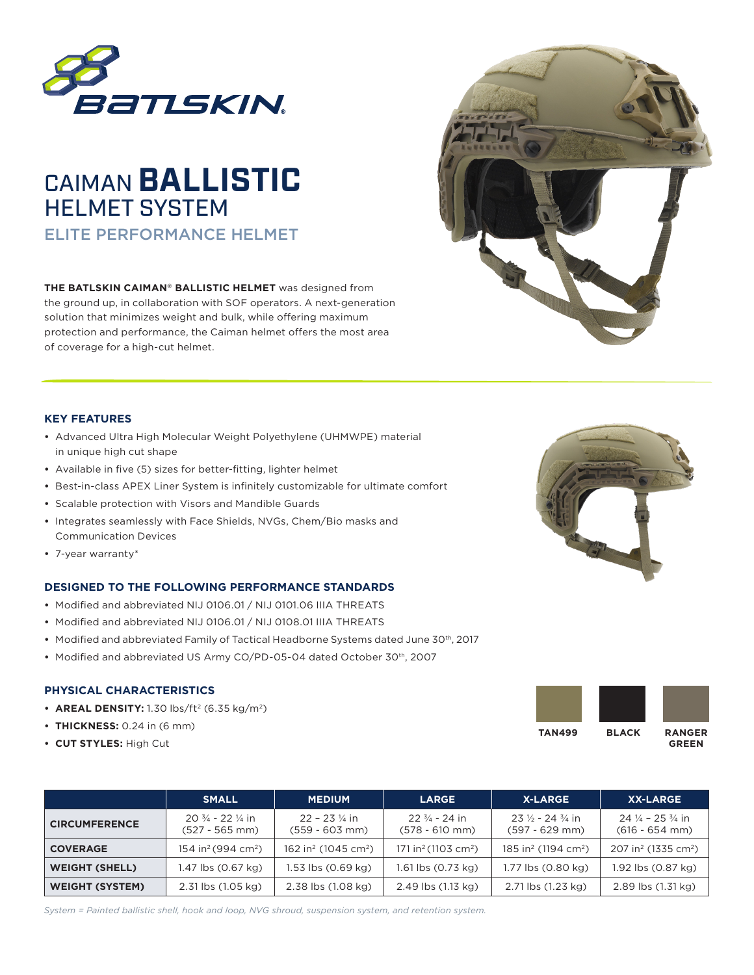



**THE BATLSKIN CAIMAN® BALLISTIC HELMET** was designed from the ground up, in collaboration with SOF operators. A next-generation solution that minimizes weight and bulk, while offering maximum protection and performance, the Caiman helmet offers the most area of coverage for a high-cut helmet.



## **KEY FEATURES**

- **•** Advanced Ultra High Molecular Weight Polyethylene (UHMWPE) material in unique high cut shape
- **•** Available in five (5) sizes for better-fitting, lighter helmet
- **•** Best-in-class APEX Liner System is infinitely customizable for ultimate comfort
- **•** Scalable protection with Visors and Mandible Guards
- **•** Integrates seamlessly with Face Shields, NVGs, Chem/Bio masks and Communication Devices
- **•** 7-year warranty\*

# **DESIGNED TO THE FOLLOWING PERFORMANCE STANDARDS**

- **•** Modified and abbreviated NIJ 0106.01 / NIJ 0101.06 IIIA THREATS
- **•** Modified and abbreviated NIJ 0106.01 / NIJ 0108.01 IIIA THREATS
- Modified and abbreviated Family of Tactical Headborne Systems dated June 30<sup>th</sup>, 2017
- Modified and abbreviated US Army CO/PD-05-04 dated October 30<sup>th</sup>, 2007

# **PHYSICAL CHARACTERISTICS**

- **AREAL DENSITY:** 1.30 lbs/ft<sup>2</sup> (6.35 kg/m<sup>2</sup>)
- **• THICKNESS:** 0.24 in (6 mm)
- **• CUT STYLES:** High Cut



 **GREEN**

|                        | <b>SMALL</b>                                            | <b>MEDIUM</b>                               | <b>LARGE</b>                                | <b>X-LARGE</b>                                         | <b>XX-LARGE</b>                                           |
|------------------------|---------------------------------------------------------|---------------------------------------------|---------------------------------------------|--------------------------------------------------------|-----------------------------------------------------------|
| <b>CIRCUMFERENCE</b>   | $20\frac{3}{4}$ - 22 $\frac{1}{4}$ in<br>(527 - 565 mm) | $22 - 23$ % in<br>$(559 - 603$ mm)          | $22\frac{3}{4}$ - 24 in<br>$(578 - 610$ mm) | $23\frac{1}{2} - 24\frac{3}{4}$ in<br>$(597 - 629$ mm) | $24\frac{1}{4}$ – 25 $\frac{3}{4}$ in<br>$(616 - 654$ mm) |
| <b>COVERAGE</b>        | 154 in <sup>2</sup> (994 cm <sup>2</sup> )              | 162 in <sup>2</sup> (1045 cm <sup>2</sup> ) | 171 in <sup>2</sup> (1103 cm <sup>2</sup> ) | 185 in <sup>2</sup> (1194 cm <sup>2</sup> )            | 207 in <sup>2</sup> (1335 cm <sup>2</sup> )               |
| <b>WEIGHT (SHELL)</b>  | 1.47 lbs (0.67 kg)                                      | 1.53 lbs (0.69 kg)                          | $1.61$ lbs $(0.73$ kg)                      | 1.77 lbs (0.80 kg)                                     | 1.92 lbs (0.87 kg)                                        |
| <b>WEIGHT (SYSTEM)</b> | 2.31 lbs (1.05 kg)                                      | 2.38 lbs (1.08 kg)                          | 2.49 lbs (1.13 kg)                          | 2.71 lbs (1.23 kg)                                     | 2.89 lbs (1.31 kg)                                        |

*System = Painted ballistic shell, hook and loop, NVG shroud, suspension system, and retention system.*